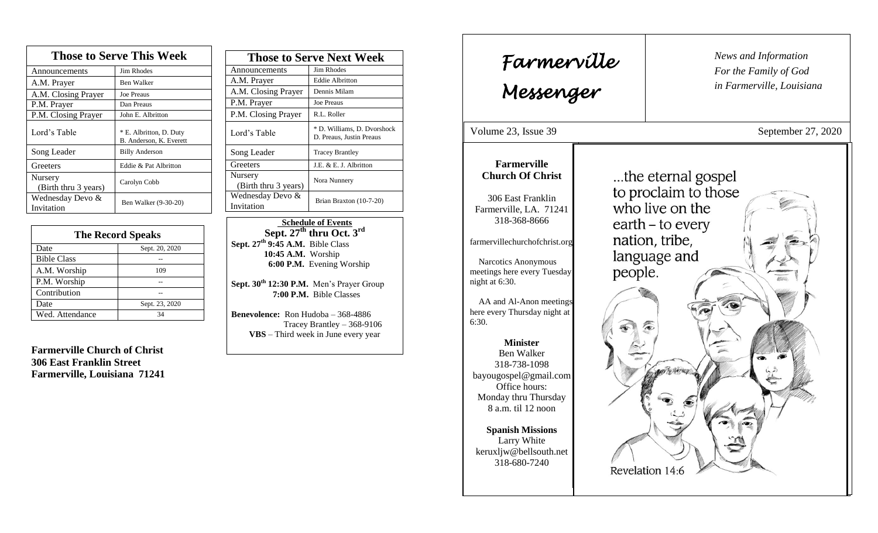| <b>Those to Serve This Week</b> |                                                    |  |
|---------------------------------|----------------------------------------------------|--|
| Announcements                   | <b>Jim Rhodes</b>                                  |  |
| A.M. Prayer                     | Ben Walker                                         |  |
| A.M. Closing Prayer             | <b>Joe Preaus</b>                                  |  |
| P.M. Prayer                     | Dan Preaus                                         |  |
| P.M. Closing Prayer             | John E. Albritton                                  |  |
| Lord's Table                    | * E. Albritton, D. Duty<br>B. Anderson, K. Everett |  |
| Song Leader                     | <b>Billy Anderson</b>                              |  |
| Greeters                        | Eddie & Pat Albritton                              |  |
| Nursery<br>(Birth thru 3 years) | Carolyn Cobb                                       |  |
| Wednesday Devo &<br>Invitation  | Ben Walker (9-30-20)                               |  |

| <b>The Record Speaks</b> |                |
|--------------------------|----------------|
| Date                     | Sept. 20, 2020 |
| <b>Bible Class</b>       |                |
| A.M. Worship             | 109            |
| P.M. Worship             |                |
| Contribution             |                |
| Date                     | Sept. 23, 2020 |
| Wed. Attendance          | 34             |

**Farmerville Church of Christ 306 East Franklin Street Farmerville, Louisiana 71241**

| <b>Those to Serve Next Week</b> |                                                         |
|---------------------------------|---------------------------------------------------------|
| Announcements                   | Jim Rhodes                                              |
| A.M. Prayer                     | <b>Eddie Albritton</b>                                  |
| A.M. Closing Prayer             | Dennis Milam                                            |
| P.M. Prayer                     | <b>Joe Preaus</b>                                       |
| P.M. Closing Prayer             | R.L. Roller                                             |
| Lord's Table                    | * D. Williams, D. Dvorshock<br>D. Preaus, Justin Preaus |
| Song Leader                     | <b>Tracey Brantley</b>                                  |
| Greeters                        | J.E. & E. J. Albritton                                  |
| Nursery<br>(Birth thru 3 years) | Nora Nunnery                                            |
| Wednesday Devo &<br>Invitation  | Brian Braxton (10-7-20)                                 |

 **Schedule of Events Sept. 27 th thru Oct. 3rd Sept. 27 th 9:45 A.M.** Bible Class **10:45 A.M.** Worship  **6:00 P.M.** Evening Worship

**Sept. 30th 12:30 P.M.** Men's Prayer Group **7:00 P.M.** Bible Classes

**Benevolence:** Ron Hudoba – 368-4886 Tracey Brantley – 368-9106 **VBS** – Third week in June every year

6:30.

*News and Information* **Farmerville**  $\begin{bmatrix} \text{News an} \\ \text{For the} \end{bmatrix}$ *For the Family of God in Farmerville, Louisiana Messenger*  Volume 23, Issue 39 September 27, 2020 , 2015 **Farmerville** ...the eternal gospel **Church Of Christ** to proclaim to those 306 East Franklin who live on the Farmerville, LA. 71241 318-368-8666 earth – to every nation, tribe, farmervillechurchofchrist.org language and Narcotics Anonymous people. meetings here every Tuesday night at 6:30. AA and Al-Anon meetings here every Thursday night at **Minister** Ben Walker 318-738-1098 bayougospel@gmail.com Office hours: Monday thru Thursday 8 a.m. til 12 noon **Spanish Missions** Larry White keruxljw@bellsouth.net 318-680-7240 Revelation 14:6

 j